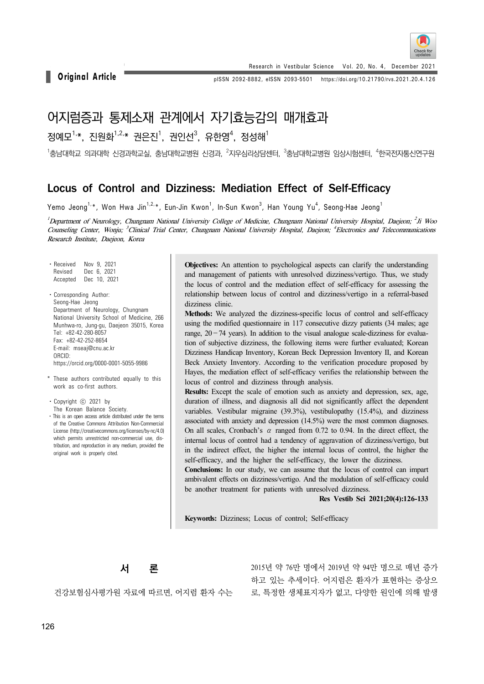

Research in Vestibular Science Vol. 20, No. 4, December 2021

**Original Article pISSN 2092-8882, eISSN 2093-5501** https://doi.org/10.21790/rvs.2021.20.4.126

# 어지럼증과 통제소재 관계에서 자기효능감의 매개효과

# 정예모<sup>1,</sup>\*, 진원화<sup>1,2,</sup>\* 권은진<sup>1</sup>, 권인선<sup>3</sup>, 유한영 $^4$ , 정성해 $^1$

 $^{\rm 1}$ 충남대학교 이경과학교실, 충남대학교병원 신경과,  $^{\rm 2}$ 지우심리상담센터,  $^{\rm 3}$ 충남대학교병원 임상시험센터,  $^{\rm 4}$ 한국전자통신연구원

# Locus of Control and Dizziness: Mediation Effect of Self-Efficacy

Yemo Jeong $^{\mathrm{1},\mathrm{*}}$ , Won Hwa Jin $^{\mathrm{1},\mathrm{2},\mathrm{*}}$ , Eun-Jin Kwon $^{\mathrm{1}}$ , In-Sun Kwon $^{\mathrm{3}}$ , Han Young Yu $^{\mathrm{4}}$ , Seong-Hae Jeong $^{\mathrm{1}}$ 

<sup>1</sup> Department of Neurology, Chungnam National University College of Medicine, Chungnam National University Hospital, Daejeon; <sup>2</sup>Ji Woo Counseling Center, Wonju; <sup>3</sup>Clinical Trial Center, Chungnam National University Hospital, Daejeon; <sup>4</sup>Electronics and Telecommunications Research Institute, Daejeon, Korea

- ⋅Received Nov 9, 2021 Revised Dec 6, 2021 Accepted Dec 10, 2021
- ⋅Corresponding Author: Seong-Hae Jeong Department of Neurology, Chungnam National University School of Medicine, 266 Munhwa-ro, Jung-gu, Daejeon 35015, Korea Tel: +82-42-280-8057 Fax: +82-42-252-8654 E-mail: mseaj@cnu.ac.kr ORCID: https://orcid.org/0000-0001-5055-9986
- \* These authors contributed equally to this work as co-first authors.

⋅Copyright ⓒ 2021 by The Korean Balance Society.

• This is an open access article distributed under the terms of the Creative Commons Attribution Non-Commercial License (http://creativecommons.org/licenses/by-nc/4.0) which permits unrestricted non-commercial use, distribution, and reproduction in any medium, provided the original work is properly cited.

**Objectives:** An attention to psychological aspects can clarify the understanding and management of patients with unresolved dizziness/vertigo. Thus, we study the locus of control and the mediation effect of self-efficacy for assessing the relationship between locus of control and dizziness/vertigo in a referral-based dizziness clinic.

**Methods:** We analyzed the dizziness-specific locus of control and self-efficacy using the modified questionnaire in 117 consecutive dizzy patients (34 males; age range,  $20 - 74$  years). In addition to the visual analogue scale-dizziness for evaluation of subjective dizziness, the following items were further evaluated; Korean Dizziness Handicap Inventory, Korean Beck Depression Inventory II, and Korean Beck Anxiety Inventory. According to the verification procedure proposed by Hayes, the mediation effect of self-efficacy verifies the relationship between the locus of control and dizziness through analysis.

**Results:** Except the scale of emotion such as anxiety and depression, sex, age, duration of illness, and diagnosis all did not significantly affect the dependent variables. Vestibular migraine (39.3%), vestibulopathy (15.4%), and dizziness associated with anxiety and depression (14.5%) were the most common diagnoses. On all scales, Cronbach's  $\alpha$  ranged from 0.72 to 0.94. In the direct effect, the internal locus of control had a tendency of aggravation of dizziness/vertigo, but in the indirect effect, the higher the internal locus of control, the higher the self-efficacy, and the higher the self-efficacy, the lower the dizziness.

**Conclusions:** In our study, we can assume that the locus of control can impart ambivalent effects on dizziness/vertigo. And the modulation of self-efficacy could be another treatment for patients with unresolved dizziness.

**Res Vestib Sci 2021;20(4):126-133**

**Keywords:** Dizziness; Locus of control; Self-efficacy



건강보험심사평가원 자료에 따르면, 어지럼 환자 수는

2015년 약 76만 명에서 2019년 약 94만 명으로 매년 증가 하고 있는 추세이다. 어지럼은 환자가 표현하는 증상으 로, 특정한 생체표지자가 없고, 다양한 원인에 의해 발생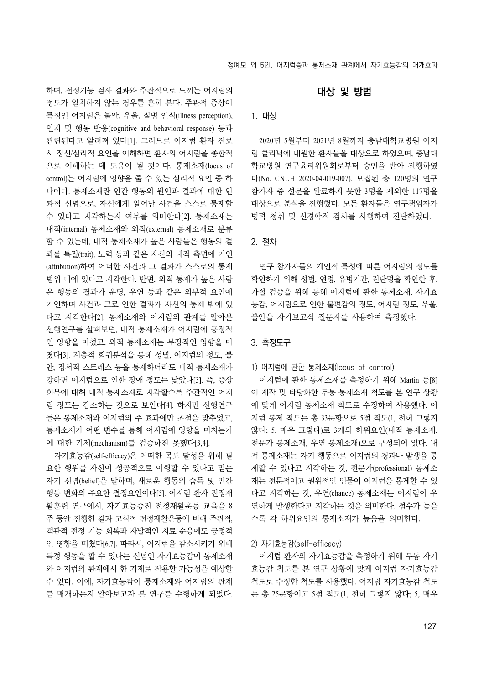하며, 전정기능 검사 결과와 주관적으로 느끼는 어지럼의 정도가 일치하지 않는 경우를 흔히 본다. 주관적 증상이 특징인 어지럼은 불안, 우울, 질병 인식(illness perception), 인지 및 행동 반응(cognitive and behavioral response) 등과 관련된다고 알려져 있다[1]. 그러므로 어지럼 환자 진료 시 정신/심리적 요인을 이해하면 환자의 어지럼을 종합적 으로 이해하는 데 도움이 될 것이다. 통제소재(locus of control)는 어지럼에 영향을 줄 수 있는 심리적 요인 중 하 나이다. 통제소재란 인간 행동의 원인과 결과에 대한 인 과적 신념으로, 자신에게 일어난 사건을 스스로 통제할 수 있다고 지각하는지 여부를 의미한다[2]. 통제소재는 내적(internal) 통제소재와 외적(external) 통제소재로 분류 할 수 있는데, 내적 통제소재가 높은 사람들은 행동의 결 과를 특질(trait), 노력 등과 같은 자신의 내적 측면에 기인 (attribution)하여 어떠한 사건과 그 결과가 스스로의 통제 범위 내에 있다고 지각한다. 반면, 외적 통제가 높은 사람 은 행동의 결과가 운명, 우연 등과 같은 외부적 요인에 기인하며 사건과 그로 인한 결과가 자신의 통제 밖에 있 다고 지각한다[2]. 통제소재와 어지럼의 관계를 알아본 선행연구를 살펴보면, 내적 통제소재가 어지럼에 긍정적 인 영향을 미쳤고, 외적 통제소재는 부정적인 영향을 미 쳤다[3]. 계층적 회귀분석을 통해 성별, 어지럼의 정도, 불 안, 정서적 스트레스 등을 통제하더라도 내적 통제소재가 강하면 어지럼으로 인한 장애 정도는 낮았다[3]. 즉, 증상 회복에 대해 내적 통제소재로 지각할수록 주관적인 어지 럼 정도는 감소하는 것으로 보인다[4]. 하지만 선행연구 들은 통제소재와 어지럼의 주 효과에만 초점을 맞추었고, 통제소재가 어떤 변수를 통해 어지럼에 영향을 미치는가 에 대한 기제(mechanism)를 검증하진 못했다[3,4].

자기효능감(self-efficacy)은 어떠한 목표 달성을 위해 필 요한 행위를 자신이 성공적으로 이행할 수 있다고 믿는 자기 신념(belief)을 말하며, 새로운 행동의 습득 및 인간 행동 변화의 주요한 결정요인이다[5]. 어지럼 환자 전정재 활훈련 연구에서, 자기효능증진 전정재활운동 교육을 8 주 동안 진행한 결과 고식적 전정재활운동에 비해 주관적, 객관적 전정 기능 회복과 자발적인 치료 순응에도 긍정적 인 영향을 미쳤다[6,7]. 따라서, 어지럼을 감소시키기 위해 특정 행동을 할 수 있다는 신념인 자기효능감이 통제소재 와 어지럼의 관계에서 한 기제로 작용할 가능성을 예상할 수 있다. 이에, 자기효능감이 통제소재와 어지럼의 관계 를 매개하는지 알아보고자 본 연구를 수행하게 되었다.

### 대상 및 방법

### 1. 대상

2020년 5월부터 2021년 8월까지 충남대학교병원 어지 럼 클리닉에 내원한 환자들을 대상으로 하였으며, 충남대 학교병원 연구윤리위원회로부터 승인을 받아 진행하였 다(No. CNUH 2020-04-019-007). 모집된 총 120명의 연구 참가자 중 설문을 완료하지 못한 3명을 제외한 117명을 대상으로 분석을 진행했다. 모든 환자들은 연구책임자가 병력 청취 및 신경학적 검사를 시행하여 진단하였다.

#### 2. 절차

연구 참가자들의 개인적 특성에 따른 어지럼의 정도를 확인하기 위해 성별, 연령, 유병기간, 진단명을 확인한 후, 가설 검증을 위해 통해 어지럼에 관한 통제소재, 자기효 능감, 어지럼으로 인한 불편감의 정도, 어지럼 정도, 우울, 불안을 자기보고식 질문지를 사용하여 측정했다.

#### 3. 측정도구

1) 어지럼에 관한 통제소재(locus of control)

어지럼에 관한 통제소재를 측정하기 위해 Martin 등[8] 이 제작 및 타당화한 두통 통제소재 척도를 본 연구 상황 에 맞게 어지럼 통제소재 척도로 수정하여 사용했다. 어 지럼 통제 척도는 총 33문항으로 5점 척도(1, 전혀 그렇지 않다; 5, 매우 그렇다)로 3개의 하위요인(내적 통제소재, 전문가 통제소재, 우연 통제소재)으로 구성되어 있다. 내 적 통제소재는 자기 행동으로 어지럼의 경과나 발생을 통 제할 수 있다고 지각하는 것, 전문가(professional) 통제소 재는 전문적이고 권위적인 인물이 어지럼을 통제할 수 있 다고 지각하는 것, 우연(chance) 통제소재는 어지럼이 우 연하게 발생한다고 지각하는 것을 의미한다. 점수가 높을 수록 각 하위요인의 통제소재가 높음을 의미한다.

#### 2) 자기효능감(self-efficacy)

어지럼 환자의 자기효능감을 측정하기 위해 두통 자기 효능감 척도를 본 연구 상황에 맞게 어지럼 자기효능감 척도로 수정한 척도를 사용했다. 어지럼 자기효능감 척도 는 총 25문항이고 5점 척도(1, 전혀 그렇지 않다; 5, 매우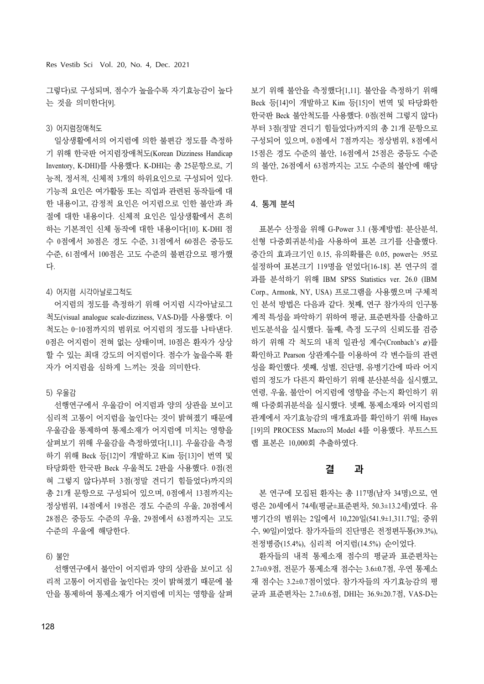그렇다)로 구성되며, 점수가 높을수록 자기효능감이 높다 는 것을 의미한다[9].

#### 3) 어지럼장애척도

일상생활에서의 어지럼에 의한 불편감 정도를 측정하 기 위해 한국판 어지럼장애척도(Korean Dizziness Handicap Inventory, K-DHI)를 사용했다. K-DHI는 총 25문항으로, 기 능적, 정서적, 신체적 3개의 하위요인으로 구성되어 있다. 기능적 요인은 여가활동 또는 직업과 관련된 동작들에 대 한 내용이고, 감정적 요인은 어지럼으로 인한 불안과 좌 절에 대한 내용이다. 신체적 요인은 일상생활에서 흔히 하는 기본적인 신체 동작에 대한 내용이다[10]. K-DHI 점 수 0점에서 30점은 경도 수준, 31점에서 60점은 중등도 수준, 61점에서 100점은 고도 수준의 불편감으로 평가했 다.

#### 4) 어지럼 시각아날로그척도

어지럼의 정도를 측정하기 위해 어지럼 시각아날로그 척도(visual analogue scale-dizziness, VAS-D)를 사용했다. 이 척도는 0–10점까지의 범위로 어지럼의 정도를 나타낸다. 0점은 어지럼이 전혀 없는 상태이며, 10점은 환자가 상상 할 수 있는 최대 강도의 어지럼이다. 점수가 높을수록 환 자가 어지럼을 심하게 느끼는 것을 의미한다.

#### 5) 우울감

선행연구에서 우울감이 어지럼과 양의 상관을 보이고 심리적 고통이 어지럼을 높인다는 것이 밝혀졌기 때문에 우울감을 통제하여 통제소재가 어지럼에 미치는 영향을 살펴보기 위해 우울감을 측정하였다[1,11]. 우울감을 측정 하기 위해 Beck 등[12]이 개발하고 Kim 등[13]이 번역 및 타당화한 한국판 Beck 우울척도 2판을 사용했다. 0점(전 혀 그렇지 않다)부터 3점(정말 견디기 힘들었다)까지의 총 21개 문항으로 구성되어 있으며, 0점에서 13점까지는 정상범위, 14점에서 19점은 경도 수준의 우울, 20점에서 28점은 중등도 수준의 우울, 29점에서 63점까지는 고도 수준의 우울에 해당한다.

#### 6) 불안

선행연구에서 불안이 어지럼과 양의 상관을 보이고 심 리적 고통이 어지럼을 높인다는 것이 밝혀졌기 때문에 불 안을 통제하여 통제소재가 어지럼에 미치는 영향을 살펴 보기 위해 불안을 측정했다[1,11]. 불안을 측정하기 위해 Beck 등[14]이 개발하고 Kim 등[15]이 번역 및 타당화한 한국판 Beck 불안척도를 사용했다. 0점(전혀 그렇지 않다) 부터 3점(정말 견디기 힘들었다)까지의 총 21개 문항으로 구성되어 있으며, 0점에서 7점까지는 정상범위, 8점에서 15점은 경도 수준의 불안, 16점에서 25점은 중등도 수준 의 불안, 26점에서 63점까지는 고도 수준의 불안에 해당 한다.

#### 4. 통계 분석

표본수 산정을 위해 G-Power 3.1 (통계방법: 분산분석, 선형 다중회귀분석)을 사용하여 표본 크기를 산출했다. 중간의 효과크기인 0.15, 유의확률은 0.05, power는 .95로 설정하여 표본크기 119명을 얻었다[16-18]. 본 연구의 결 과를 분석하기 위해 IBM SPSS Statistics ver. 26.0 (IBM Corp., Armonk, NY, USA) 프로그램을 사용했으며 구체적 인 분석 방법은 다음과 같다. 첫째, 연구 참가자의 인구통 계적 특성을 파악하기 위하여 평균, 표준편차를 산출하고 빈도분석을 실시했다. 둘째, 측정 도구의 신뢰도를 검증 하기 위해 각 척도의 내적 일관성 계수(Cronbach's α)를 확인하고 Pearson 상관계수를 이용하여 각 변수들의 관련 성을 확인했다. 셋째, 성별, 진단명, 유병기간에 따라 어지 럼의 정도가 다른지 확인하기 위해 분산분석을 실시했고, 연령, 우울, 불안이 어지럼에 영향을 주는지 확인하기 위 해 다중회귀분석을 실시했다. 넷째, 통제소재와 어지럼의 관계에서 자기효능감의 매개효과를 확인하기 위해 Hayes [19]의 PROCESS Macro의 Model 4를 이용했다. 부트스트 랩 표본은 10,000회 추출하였다.

### 결 과

본 연구에 모집된 환자는 총 117명(남자 34명)으로, 연 령은 20세에서 74세(평균±표준편차, 50.3±13.2세)였다. 유 병기간의 범위는 2일에서 10,220일(541.9±1,311.7일; 중위 수, 90일)이었다. 참가자들의 진단명은 전정편두통(39.3%), 전정병증(15.4%), 심리적 어지럼(14.5%) 순이었다.

환자들의 내적 통제소재 점수의 평균과 표준편차는 2.7±0.9점, 전문가 통제소재 점수는 3.6±0.7점, 우연 통제소 재 점수는 3.2±0.7점이었다. 참가자들의 자기효능감의 평 균과 표준편차는 2.7±0.6점, DHI는 36.9±20.7점, VAS-D는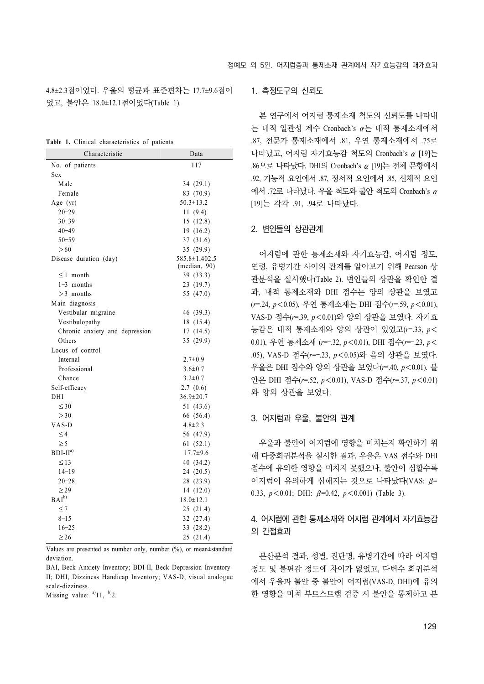4.8±2.3점이었다. 우울의 평균과 표준편차는 17.7±9.6점이 었고, 불안은 18.0±12.1점이었다(Table 1).

**Table 1.** Clinical characteristics of patients

| Characteristic                 | Data            |
|--------------------------------|-----------------|
| No. of patients                | 117             |
| Sex                            |                 |
| Male                           | 34 (29.1)       |
| Female                         | 83 (70.9)       |
| Age (yr)                       | $50.3 \pm 13.2$ |
| $20 - 29$                      | 11 (9.4)        |
| $30 - 39$                      | 15(12.8)        |
| $40 - 49$                      | 19 (16.2)       |
| $50 - 59$                      | 37 (31.6)       |
| >60                            | 35 (29.9)       |
| Disease duration (day)         | 585.8±1,402.5   |
|                                | (median, 90)    |
| $\leq$ 1 month                 | 39 (33.3)       |
| $1-3$ months                   | 23 (19.7)       |
| $>3$ months                    | 55 (47.0)       |
| Main diagnosis                 |                 |
| Vestibular migraine            | 46 (39.3)       |
| Vestibulopathy                 | 18 (15.4)       |
| Chronic anxiety and depression | 17 (14.5)       |
| Others                         | 35 (29.9)       |
| Locus of control               |                 |
| Internal                       | $2.7 \pm 0.9$   |
| Professional                   | $3.6 \pm 0.7$   |
| Chance                         | $3.2 \pm 0.7$   |
| Self-efficacy                  | 2.7(0.6)        |
| DHI                            | $36.9 \pm 20.7$ |
| $\leq 30$                      | 51 (43.6)       |
| >30                            | 66 (56.4)       |
| VAS-D                          | $4.8 \pm 2.3$   |
| $\leq$ 4                       | 56 (47.9)       |
| $\geq 5$                       | 61(52.1)        |
| $BDI-IIa$                      | $17.7 \pm 9.6$  |
| $\leq$ 13                      | 40 (34.2)       |
| $14-19$                        | 24 (20.5)       |
| $20 - 28$                      | 28 (23.9)       |
| $\geq$ 29                      | 14 (12.0)       |
| $BAI^{b}$                      | $18.0 \pm 12.1$ |
| $\leq 7$                       | 25 (21.4)       |
| $8 - 15$                       | 32 (27.4)       |
| $16 - 25$                      | 33 (28.2)       |
| $\geq$ 26                      | 25 (21.4)       |

Values are presented as number only, number (%), or mean±standard deviation.

BAI, Beck Anxiety Inventory; BDI-II, Beck Depression Inventory-II; DHI, Dizziness Handicap Inventory; VAS-D, visual analogue scale-dizziness.

Missing value:  $a^{a}$ 11,  $b^{b}$ 2.

#### 1. 측정도구의 신뢰도

본 연구에서 어지럼 통제소재 척도의 신뢰도를 나타내 는 내적 일관성 계수 Cronbach's α는 내적 통제소재에서 .87, 전문가 통제소재에서 .81, 우연 통제소재에서 .75로 나타났고, 어지럼 자기효능감 척도의 Cronbach's α [19]는 .86으로 나타났다. DHI의 Cronbach's α [19]는 전체 문항에서 .92, 기능적 요인에서 .87, 정서적 요인에서 .85, 신체적 요인 에서 .72로 나타났다. 우울 척도와 불안 척도의 Cronbach's α [19]는 각각 .91, .94로 나타났다.

#### 2. 변인들의 상관관계

어지럼에 관한 통제소재와 자기효능감, 어지럼 정도, 연령, 유병기간 사이의 관계를 알아보기 위해 Pearson 상 관분석을 실시했다(Table 2). 변인들의 상관을 확인한 결 과, 내적 통제소재와 DHI 점수는 양의 상관을 보였고 (*r*=.24, *p*<0.05), 우연 통제소재는 DHI 점수(*r*=.59, *p*<0.01), VAS-D 점수(*r*=.39, *p*<0.01)와 양의 상관을 보였다. 자기효 능감은 내적 통제소재와 양의 상관이 있었고(*r*=.33, *p*< 0.01), 우연 통제소재 (*r*=‒.32, *p*<0.01), DHI 점수(*r*=‒.23, *p*< .05), VAS-D 점수(*r*=–.23, *p*<0.05)와 음의 상관을 보였다. 우울은 DHI 점수와 양의 상관을 보였다(*r*=.40, *p*<0.01). 불 안은 DHI 점수(*r*=.52, *p*<0.01), VAS-D 점수(*r*=.37, *p*<0.01) 와 양의 상관을 보였다.

#### 3. 어지럼과 우울, 불안의 관계

우울과 불안이 어지럼에 영향을 미치는지 확인하기 위 해 다중회귀분석을 실시한 결과, 우울은 VAS 점수와 DHI 점수에 유의한 영향을 미치지 못했으나, 불안이 심할수록 어지럼이 유의하게 심해지는 것으로 나타났다(VAS: β= 0.33, *p*<0.01; DHI: β=0.42, *p*<0.001) (Table 3).

# 4. 어지럼에 관한 통제소재와 어지럼 관계에서 자기효능감 의 간접효과

분산분석 결과, 성별, 진단명, 유병기간에 따라 어지럼 정도 및 불편감 정도에 차이가 없었고, 다변수 회귀분석 에서 우울과 불안 중 불안이 어지럼(VAS-D, DHI)에 유의 한 영향을 미쳐 부트스트랩 검증 시 불안을 통제하고 분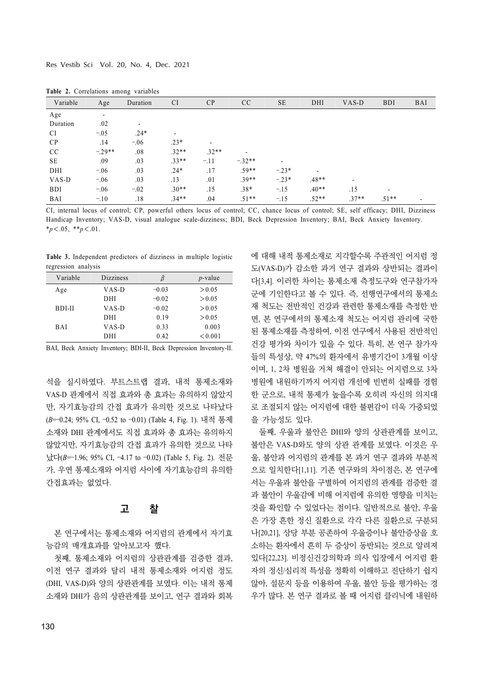| Variable   | Age                      | Duration                 | <b>CI</b>                | CP                       | CC                       | <b>SE</b> | DHI                      | VAS-D                    | <b>BDI</b>               | <b>BAI</b> |
|------------|--------------------------|--------------------------|--------------------------|--------------------------|--------------------------|-----------|--------------------------|--------------------------|--------------------------|------------|
| Age        | $\overline{\phantom{a}}$ |                          |                          |                          |                          |           |                          |                          |                          |            |
| Duration   | .02                      | $\overline{\phantom{a}}$ |                          |                          |                          |           |                          |                          |                          |            |
| <b>CI</b>  | $-.05$                   | $.24*$                   | $\overline{\phantom{a}}$ |                          |                          |           |                          |                          |                          |            |
| CP         | .14                      | $-.06$                   | $.23*$                   | $\overline{\phantom{a}}$ |                          |           |                          |                          |                          |            |
| CC         | $-.29**$                 | .08                      | $.32**$                  | $.32**$                  | $\overline{\phantom{a}}$ |           |                          |                          |                          |            |
| SE         | .09                      | .03                      | $.33**$                  | $-.11$                   | $-.32**$                 |           |                          |                          |                          |            |
| DHI        | $-.06$                   | .03                      | $.24*$                   | .17                      | $.59**$                  | $-.23*$   | $\overline{\phantom{a}}$ |                          |                          |            |
| VAS-D      | $-.06$                   | .03                      | .13                      | .01                      | $.39**$                  | $-.23*$   | $.48**$                  | $\overline{\phantom{0}}$ |                          |            |
| <b>BDI</b> | $-.06$                   | $-.02$                   | $.30**$                  | .15                      | $.38*$                   | $-.15$    | $.40**$                  | .15                      | $\overline{\phantom{0}}$ |            |
| <b>BAI</b> | $-.10$                   | .18                      | $.34**$                  | .04                      | $.51**$                  | $-.15$    | $.52**$                  | $.37**$                  | $.51**$                  |            |

**Table 2.** Correlations among variables

CI, internal locus of control; CP, powerful others locus of control; CC, chance locus of control; SE, self efficacy; DHI, Dizziness Handicap Inventory; VAS-D, visual analogue scale-dizziness; BDI, Beck Depression Inventory; BAI, Beck Anxiety Inventory. \**p*<.05, \*\**p*<.01.

**Table 3.** Independent predictors of dizziness in multiple logistic regression analysis

| Variable   | <b>Dizziness</b> | β       | $p$ -value |
|------------|------------------|---------|------------|
| Age        | VAS-D            | $-0.03$ | > 0.05     |
|            | DHI              | $-0.02$ | > 0.05     |
| BDI-II     | VAS-D            | $-0.02$ | > 0.05     |
|            | DHI              | 0.19    | > 0.05     |
| <b>BAI</b> | VAS-D            | 0.33    | 0.003      |
|            | DHI              | 0.42    | < 0.001    |

BAI, Beck Anxiety Inventory; BDI-II, Beck Depression Inventory-II.

석을 실시하였다. 부트스트랩 결과, 내적 통제소재와 VAS-D 관계에서 직접 효과와 총 효과는 유의하지 않았지 만, 자기효능감의 간접 효과가 유의한 것으로 나타났다 (*B*=–0.24; 95% CI, –0.52 to –0.01) (Table 4, Fig. 1). 내적 통제 소재와 DHI 관계에서도 직접 효과와 총 효과는 유의하지 않았지만, 자기효능감의 간접 효과가 유의한 것으로 나타 났다(*B*=–1.96; 95% CI, –4.17 to –0.02) (Table 5, Fig. 2). 전문 가, 우연 통제소재와 어지럼 사이에 자기효능감의 유의한 간접효과는 없었다.

## 고 찰

본 연구에서는 통제소재와 어지럼의 관계에서 자기효 능감의 매개효과를 알아보고자 했다.

첫째, 통제소재와 어지럼의 상관관계를 검증한 결과, 이전 연구 결과와 달리 내적 통제소재와 어지럼 정도 (DHI, VAS-D)와 양의 상관관계를 보였다. 이는 내적 통제 소재와 DHI가 음의 상관관계를 보이고, 연구 결과와 회복 에 대해 내적 통제소재로 지각할수록 주관적인 어지럼 정 도(VAS-D)가 감소한 과거 연구 결과와 상반되는 결과이 다[3,4]. 이러한 차이는 통제소재 측정도구와 연구참가자 군에 기인한다고 볼 수 있다. 즉, 선행연구에서의 통제소 재 척도는 전반적인 건강과 관련한 통제소재를 측정한 반 면, 본 연구에서의 통제소재 척도는 어지럼 관리에 국한 된 통제소재를 측정하여, 이전 연구에서 사용된 전반적인 건강 평가와 차이가 있을 수 있다. 특히, 본 연구 참가자 들의 특성상, 약 47%의 환자에서 유병기간이 3개월 이상 이며, 1, 2차 병원을 거쳐 해결이 안되는 어지럼으로 3차 병원에 내원하기까지 어지럼 개선에 빈번히 실패를 경험 한 군으로, 내적 통제가 높을수록 오히려 자신의 의지대 로 조절되지 않는 어지럼에 대한 불편감이 더욱 가중되었 을 가능성도 있다.

둘째, 우울과 불안은 DHI와 양의 상관관계를 보이고, 불안은 VAS-D와도 양의 상관 관계를 보였다. 이것은 우 울, 불안과 어지럼의 관계를 본 과거 연구 결과와 부분적 으로 일치한다[1,11]. 기존 연구와의 차이점은, 본 연구에 서는 우울과 불안을 구별하여 어지럼의 관계를 검증한 결 과 불안이 우울감에 비해 어지럼에 유의한 영향을 미치는 것을 확인할 수 있었다는 점이다. 일반적으로 불안, 우울 은 가장 흔한 정신 질환으로 각각 다른 질환으로 구분되 나[20,21], 상당 부분 공존하여 우울증이나 불안증상을 호 소하는 환자에서 흔히 두 증상이 동반되는 것으로 알려져 있다[22,23]. 비정신건강의학과 의사 입장에서 어지럼 환 자의 정신/심리적 특성을 정확히 이해하고 진단하기 쉽지 않아, 설문지 등을 이용하여 우울, 불안 등을 평가하는 경 우가 많다. 본 연구 결과로 볼 때 어지럼 클리닉에 내원하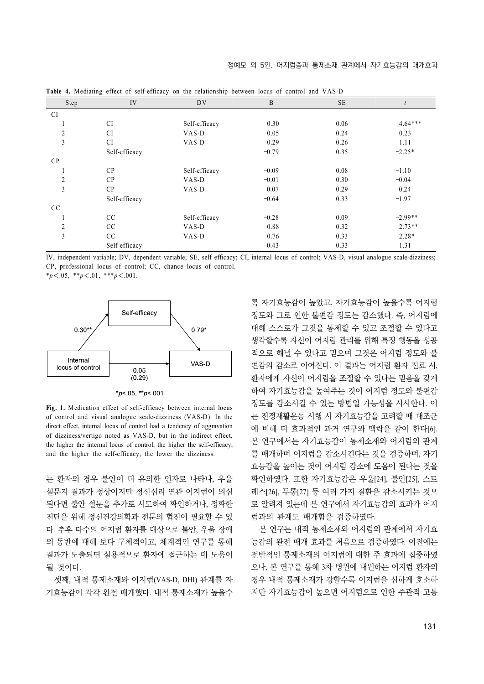| Step           | IV            | DV            | B       | <b>SE</b> |           |
|----------------|---------------|---------------|---------|-----------|-----------|
| <b>CI</b>      |               |               |         |           |           |
|                | CI            | Self-efficacy | 0.30    | 0.06      | $4.64***$ |
| $\overline{2}$ | <b>CI</b>     | VAS-D         | 0.05    | 0.24      | 0.23      |
| 3              | <b>CI</b>     | VAS-D         | 0.29    | 0.26      | 1.11      |
|                | Self-efficacy |               | $-0.79$ | 0.35      | $-2.25*$  |
| CP             |               |               |         |           |           |
|                | CP            | Self-efficacy | $-0.09$ | 0.08      | $-1.10$   |
| $\overline{2}$ | CP            | VAS-D         | $-0.01$ | 0.30      | $-0.04$   |
| 3              | CP            | VAS-D         | $-0.07$ | 0.29      | $-0.24$   |
|                | Self-efficacy |               | $-0.64$ | 0.33      | $-1.97$   |
| CC             |               |               |         |           |           |
|                | CC            | Self-efficacy | $-0.28$ | 0.09      | $-2.99**$ |
| 2              | CC            | VAS-D         | 0.88    | 0.32      | $2.73**$  |
| 3              | CC            | VAS-D         | 0.76    | 0.33      | $2.28*$   |
|                | Self-efficacy |               | $-0.43$ | 0.33      | 1.31      |

**Table 4.** Mediating effect of self-efficacy on the relationship between locus of control and VAS-D

IV, independent variable; DV, dependent variable; SE, self efficacy; CI, internal locus of control; VAS-D, visual analogue scale-dizziness; CP, professional locus of control; CC, chance locus of control.

\**p*<.05, \*\**p*<.01, \*\*\**p*<.001.



\*p< 05, \*\*p< 001

**Fig. 1.** Medication effect of self-efficacy between internal locus of control and visual analogue scale-dizziness (VAS-D). In the direct effect, internal locus of control had a tendency of aggravation of dizziness/vertigo noted as VAS-D, but in the indirect effect, the higher the internal locus of control, the higher the self-efficacy, and the higher the self-efficacy, the lower the dizziness.

는 환자의 경우 불안이 더 유의한 인자로 나타나, 우울 설문지 결과가 정상이지만 정신심리 연관 어지럼이 의심 된다면 불안 설문을 추가로 시도하여 확인하거나, 정확한 진단을 위해 정신건강의학과 전문의 협진이 필요할 수 있 다. 추후 다수의 어지럼 환자를 대상으로 불안, 우울 장애 의 동반에 대해 보다 구체적이고, 체계적인 연구를 통해 결과가 도출되면 실용적으로 환자에 접근하는 데 도움이 될 것이다.

셋째, 내적 통제소재와 어지럼(VAS-D, DHI) 관계를 자 기효능감이 각각 완전 매개했다. 내적 통제소재가 높을수

록 자기효능감이 높았고, 자기효능감이 높을수록 어지럼 정도와 그로 인한 불편감 정도는 감소했다. 즉, 어지럼에 대해 스스로가 그것을 통제할 수 있고 조절할 수 있다고 생각할수록 자신이 어지럼 관리를 위해 특정 행동을 성공 적으로 해낼 수 있다고 믿으며 그것은 어지럼 정도와 불 편감의 감소로 이어진다. 이 결과는 어지럼 환자 진료 시, 환자에게 자신이 어지럼을 조절할 수 있다는 믿음을 갖게 하여 자기효능감을 높여주는 것이 어지럼 정도와 불편감 정도를 감소시킬 수 있는 방법일 가능성을 시사한다. 이 는 전정재활운동 시행 시 자기효능감을 고려할 때 대조군 에 비해 더 효과적인 과거 연구와 맥락을 같이 한다[6]. 본 연구에서는 자기효능감이 통제소재와 어지럼의 관계 를 매개하며 어지럼을 감소시킨다는 것을 검증하며, 자기 효능감을 높이는 것이 어지럼 감소에 도움이 된다는 것을 확인하였다. 또한 자기효능감은 우울[24], 불안[25], 스트 레스[26], 두통[27] 등 여러 가지 질환을 감소시키는 것으 로 알려져 있는데 본 연구에서 자기효능감의 효과가 어지 럼과의 관계도 매개함을 검증하였다.

본 연구는 내적 통제소재와 어지럼의 관계에서 자기효 능감의 완전 매개 효과를 처음으로 검증하였다. 이전에는 전반적인 통제소재의 어지럼에 대한 주 효과에 집중하였 으나, 본 연구를 통해 3차 병원에 내원하는 어지럼 환자의 경우 내적 통제소재가 강할수록 어지럼을 심하게 호소하 지만 자기효능감이 높으면 어지럼으로 인한 주관적 고통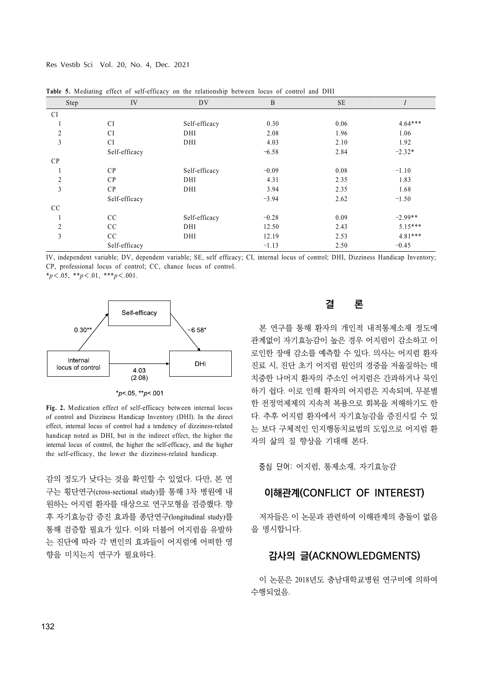Res Vestib Sci Vol. 20, No. 4, Dec. 2021

| Step           | IV<br><b>DV</b> |               | $\mathbf B$ | <b>SE</b> | $\mathbf{I}$ |  |
|----------------|-----------------|---------------|-------------|-----------|--------------|--|
| <b>CI</b>      |                 |               |             |           |              |  |
|                | CI              | Self-efficacy | 0.30        | 0.06      | $4.64***$    |  |
| $\overline{2}$ | <b>CI</b>       | DHI           | 2.08        | 1.96      | 1.06         |  |
| 3              | <b>CI</b>       | DHI           | 4.03        | 2.10      | 1.92         |  |
|                | Self-efficacy   |               | $-6.58$     | 2.84      | $-2.32*$     |  |
| CP             |                 |               |             |           |              |  |
| -1             | CP              | Self-efficacy | $-0.09$     | 0.08      | $-1.10$      |  |
| $\overline{2}$ | CP              | DHI           | 4.31        | 2.35      | 1.83         |  |
| $\mathfrak{Z}$ | CP              | DHI           | 3.94        | 2.35      | 1.68         |  |
|                | Self-efficacy   |               | $-3.94$     | 2.62      | $-1.50$      |  |
| CC             |                 |               |             |           |              |  |
|                | CC              | Self-efficacy | $-0.28$     | 0.09      | $-2.99**$    |  |
| $\overline{2}$ | CC              | DHI           | 12.50       | 2.43      | $5.15***$    |  |
| 3              | CC              | DHI           | 12.19       | 2.53      | $4.81***$    |  |
|                | Self-efficacy   |               | $-1.13$     | 2.50      | $-0.45$      |  |

**Table 5.** Mediating effect of self-efficacy on the relationship between locus of control and DHI

IV, independent variable; DV, dependent variable; SE, self efficacy; CI, internal locus of control; DHI, Dizziness Handicap Inventory; CP, professional locus of control; CC, chance locus of control.

\**p*<.05, \*\**p*<.01, \*\*\**p*<.001.



\* $p$  < 05, \*\* $p$  < 001

**Fig. 2.** Medication effect of self-efficacy between internal locus of control and Dizziness Handicap Inventory (DHI). In the direct effect, internal locus of control had a tendency of dizziness-related handicap noted as DHI, but in the indirect effect, the higher the internal locus of control, the higher the self-efficacy, and the higher the self-efficacy, the lower the dizziness-related handicap.

감의 정도가 낮다는 것을 확인할 수 있었다. 다만, 본 연 구는 횡단연구(cross-sectional study)를 통해 3차 병원에 내 원하는 어지럼 환자를 대상으로 연구모형을 검증했다. 향 후 자기효능감 증진 효과를 종단연구(longitudinal study)를 통해 검증할 필요가 있다. 이와 더불어 어지럼을 유발하 는 진단에 따라 각 변인의 효과들이 어지럼에 어떠한 영 향을 미치는지 연구가 필요하다.

# 결 론

본 연구를 통해 환자의 개인적 내적통제소재 정도에 관계없이 자기효능감이 높은 경우 어지럼이 감소하고 이 로인한 장애 감소를 예측할 수 있다. 의사는 어지럼 환자 진료 시, 진단 초기 어지럼 원인의 경중을 저울질하는 데 치중한 나머지 환자의 주소인 어지럼은 간과하거나 묵인 하기 쉽다. 이로 인해 환자의 어지럼은 지속되며, 무분별 한 전정억제제의 지속적 복용으로 회복을 저해하기도 한 다. 추후 어지럼 환자에서 자기효능감을 증진시킬 수 있 는 보다 구체적인 인지행동치료법의 도입으로 어지럼 환 자의 삶의 질 향상을 기대해 본다.

중심 단어: 어지럼, 통제소재, 자기효능감

# 이해관계(CONFLICT OF INTEREST)

저자들은 이 논문과 관련하여 이해관계의 충돌이 없음 을 명시합니다.

# 감사의 글(ACKNOWLEDGMENTS)

이 논문은 2018년도 충남대학교병원 연구비에 의하여 수행되었음.